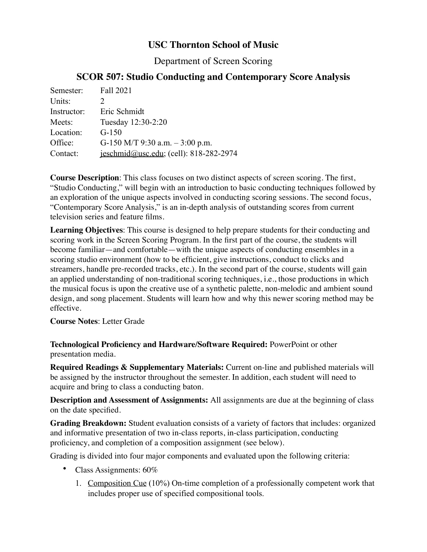# **USC Thornton School of Music**

Department of Screen Scoring

# **SCOR 507: Studio Conducting and Contemporary Score Analysis**

| Semester:   | Fall 2021                              |
|-------------|----------------------------------------|
| Units:      |                                        |
| Instructor: | Eric Schmidt                           |
| Meets:      | Tuesday 12:30-2:20                     |
| Location:   | $G-150$                                |
| Office:     | G-150 M/T 9:30 a.m. $-3:00$ p.m.       |
| Contact:    | jeschmid@usc.edu; (cell): 818-282-2974 |

**Course Description**: This class focuses on two distinct aspects of screen scoring. The first, "Studio Conducting," will begin with an introduction to basic conducting techniques followed by an exploration of the unique aspects involved in conducting scoring sessions. The second focus, "Contemporary Score Analysis," is an in-depth analysis of outstanding scores from current television series and feature films.

**Learning Objectives**: This course is designed to help prepare students for their conducting and scoring work in the Screen Scoring Program. In the first part of the course, the students will become familiar—and comfortable—with the unique aspects of conducting ensembles in a scoring studio environment (how to be efficient, give instructions, conduct to clicks and streamers, handle pre-recorded tracks, etc.). In the second part of the course, students will gain an applied understanding of non-traditional scoring techniques, i.e., those productions in which the musical focus is upon the creative use of a synthetic palette, non-melodic and ambient sound design, and song placement. Students will learn how and why this newer scoring method may be effective.

**Course Notes**: Letter Grade

**Technological Proficiency and Hardware/Software Required:** PowerPoint or other presentation media.

**Required Readings & Supplementary Materials:** Current on-line and published materials will be assigned by the instructor throughout the semester. In addition, each student will need to acquire and bring to class a conducting baton.

**Description and Assessment of Assignments:** All assignments are due at the beginning of class on the date specified.

**Grading Breakdown:** Student evaluation consists of a variety of factors that includes: organized and informative presentation of two in-class reports, in-class participation, conducting proficiency, and completion of a composition assignment (see below).

Grading is divided into four major components and evaluated upon the following criteria:

- Class Assignments: 60%
	- 1. Composition Cue (10%) On-time completion of a professionally competent work that includes proper use of specified compositional tools.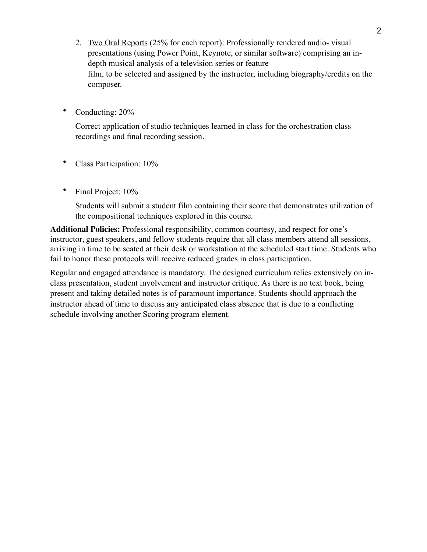- 2. Two Oral Reports (25% for each report): Professionally rendered audio- visual presentations (using Power Point, Keynote, or similar software) comprising an indepth musical analysis of a television series or feature film, to be selected and assigned by the instructor, including biography/credits on the composer.
- Conducting:  $20\%$

Correct application of studio techniques learned in class for the orchestration class recordings and final recording session.

- Class Participation: 10%
- Final Project: 10%

Students will submit a student film containing their score that demonstrates utilization of the compositional techniques explored in this course.

**Additional Policies:** Professional responsibility, common courtesy, and respect for one's instructor, guest speakers, and fellow students require that all class members attend all sessions, arriving in time to be seated at their desk or workstation at the scheduled start time. Students who fail to honor these protocols will receive reduced grades in class participation.

Regular and engaged attendance is mandatory. The designed curriculum relies extensively on inclass presentation, student involvement and instructor critique. As there is no text book, being present and taking detailed notes is of paramount importance. Students should approach the instructor ahead of time to discuss any anticipated class absence that is due to a conflicting schedule involving another Scoring program element.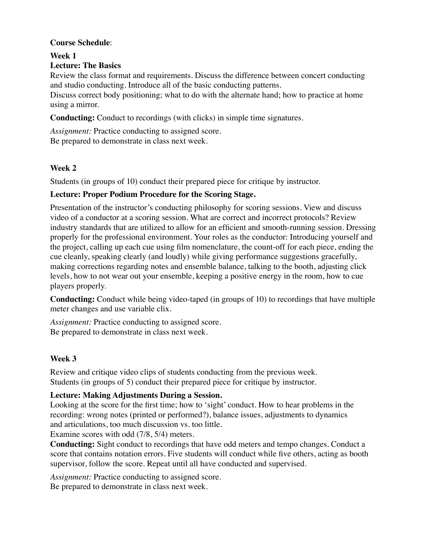# **Course Schedule**:

**Week 1**

# **Lecture: The Basics**

Review the class format and requirements. Discuss the difference between concert conducting and studio conducting. Introduce all of the basic conducting patterns.

Discuss correct body positioning; what to do with the alternate hand; how to practice at home using a mirror.

**Conducting:** Conduct to recordings (with clicks) in simple time signatures.

*Assignment:* Practice conducting to assigned score.

Be prepared to demonstrate in class next week.

# **Week 2**

Students (in groups of 10) conduct their prepared piece for critique by instructor.

# **Lecture: Proper Podium Procedure for the Scoring Stage.**

Presentation of the instructor's conducting philosophy for scoring sessions. View and discuss video of a conductor at a scoring session. What are correct and incorrect protocols? Review industry standards that are utilized to allow for an efficient and smooth-running session. Dressing properly for the professional environment. Your roles as the conductor: Introducing yourself and the project, calling up each cue using film nomenclature, the count-off for each piece, ending the cue cleanly, speaking clearly (and loudly) while giving performance suggestions gracefully, making corrections regarding notes and ensemble balance, talking to the booth, adjusting click levels, how to not wear out your ensemble, keeping a positive energy in the room, how to cue players properly.

**Conducting:** Conduct while being video-taped (in groups of 10) to recordings that have multiple meter changes and use variable clix.

*Assignment:* Practice conducting to assigned score. Be prepared to demonstrate in class next week.

# **Week 3**

Review and critique video clips of students conducting from the previous week. Students (in groups of 5) conduct their prepared piece for critique by instructor.

# **Lecture: Making Adjustments During a Session.**

Looking at the score for the first time; how to 'sight' conduct. How to hear problems in the recording: wrong notes (printed or performed?), balance issues, adjustments to dynamics and articulations, too much discussion vs. too little.

Examine scores with odd (7/8, 5/4) meters.

**Conducting:** Sight conduct to recordings that have odd meters and tempo changes. Conduct a score that contains notation errors. Five students will conduct while five others, acting as booth supervisor, follow the score. Repeat until all have conducted and supervised.

*Assignment:* Practice conducting to assigned score.

Be prepared to demonstrate in class next week.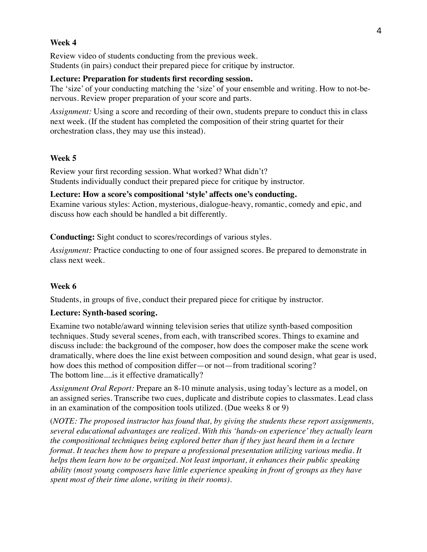## **Week 4**

Review video of students conducting from the previous week. Students (in pairs) conduct their prepared piece for critique by instructor.

#### **Lecture: Preparation for students first recording session.**

The 'size' of your conducting matching the 'size' of your ensemble and writing. How to not-benervous. Review proper preparation of your score and parts.

*Assignment:* Using a score and recording of their own, students prepare to conduct this in class next week. (If the student has completed the composition of their string quartet for their orchestration class, they may use this instead).

## **Week 5**

Review your first recording session. What worked? What didn't? Students individually conduct their prepared piece for critique by instructor.

**Lecture: How a score's compositional 'style' affects one's conducting.** Examine various styles: Action, mysterious, dialogue-heavy, romantic, comedy and epic, and

discuss how each should be handled a bit differently.

**Conducting:** Sight conduct to scores/recordings of various styles.

*Assignment:* Practice conducting to one of four assigned scores. Be prepared to demonstrate in class next week.

## **Week 6**

Students, in groups of five, conduct their prepared piece for critique by instructor.

## **Lecture: Synth-based scoring.**

Examine two notable/award winning television series that utilize synth-based composition techniques. Study several scenes, from each, with transcribed scores. Things to examine and discuss include: the background of the composer, how does the composer make the scene work dramatically, where does the line exist between composition and sound design, what gear is used, how does this method of composition differ—or not—from traditional scoring? The bottom line....is it effective dramatically?

*Assignment Oral Report:* Prepare an 8-10 minute analysis, using today's lecture as a model, on an assigned series. Transcribe two cues, duplicate and distribute copies to classmates. Lead class in an examination of the composition tools utilized. (Due weeks 8 or 9)

(*NOTE: The proposed instructor has found that, by giving the students these report assignments, several educational advantages are realized. With this 'hands-on experience' they actually learn the compositional techniques being explored better than if they just heard them in a lecture format. It teaches them how to prepare a professional presentation utilizing various media. It helps them learn how to be organized. Not least important, it enhances their public speaking ability (most young composers have little experience speaking in front of groups as they have spent most of their time alone, writing in their rooms).*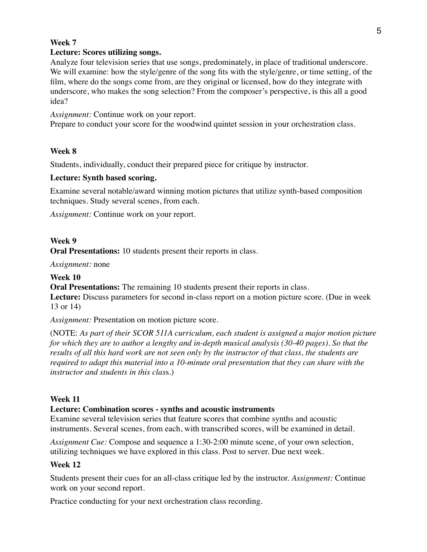### **Week 7**

## **Lecture: Scores utilizing songs.**

Analyze four television series that use songs, predominately, in place of traditional underscore. We will examine: how the style/genre of the song fits with the style/genre, or time setting, of the film, where do the songs come from, are they original or licensed, how do they integrate with underscore, who makes the song selection? From the composer's perspective, is this all a good idea?

*Assignment:* Continue work on your report.

Prepare to conduct your score for the woodwind quintet session in your orchestration class.

## **Week 8**

Students, individually, conduct their prepared piece for critique by instructor.

## **Lecture: Synth based scoring.**

Examine several notable/award winning motion pictures that utilize synth-based composition techniques. Study several scenes, from each.

*Assignment:* Continue work on your report.

### **Week 9**

**Oral Presentations:** 10 students present their reports in class.

*Assignment:* none

**Week 10**

**Oral Presentations:** The remaining 10 students present their reports in class. **Lecture:** Discuss parameters for second in-class report on a motion picture score. (Due in week 13 or 14)

*Assignment:* Presentation on motion picture score.

(NOTE: *As part of their SCOR 511A curriculum, each student is assigned a major motion picture for which they are to author a lengthy and in-depth musical analysis (30-40 pages). So that the results of all this hard work are not seen only by the instructor of that class, the students are required to adapt this material into a 10-minute oral presentation that they can share with the instructor and students in this clas*s.)

#### **Week 11**

#### **Lecture: Combination scores - synths and acoustic instruments**

Examine several television series that feature scores that combine synths and acoustic instruments. Several scenes, from each, with transcribed scores, will be examined in detail.

*Assignment Cue:* Compose and sequence a 1:30-2:00 minute scene, of your own selection, utilizing techniques we have explored in this class. Post to server. Due next week.

#### **Week 12**

Students present their cues for an all-class critique led by the instructor. *Assignment:* Continue work on your second report.

Practice conducting for your next orchestration class recording.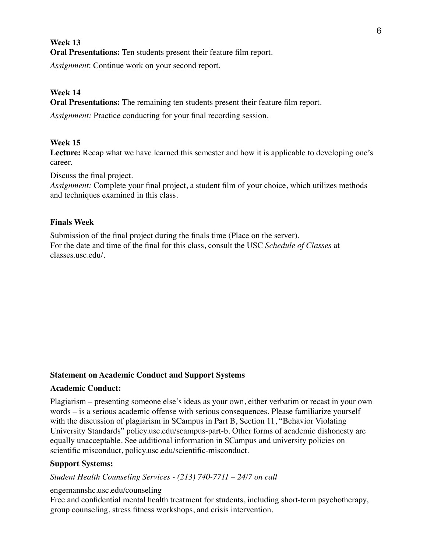## **Week 13**

**Oral Presentations:** Ten students present their feature film report.

*Assignment*: Continue work on your second report.

## **Week 14**

**Oral Presentations:** The remaining ten students present their feature film report.

*Assignment:* Practice conducting for your final recording session.

## **Week 15**

Lecture: Recap what we have learned this semester and how it is applicable to developing one's career.

Discuss the final project.

*Assignment:* Complete your final project, a student film of your choice, which utilizes methods and techniques examined in this class.

### **Finals Week**

Submission of the final project during the finals time (Place on the server). For the date and time of the final for this class, consult the USC *Schedule of Classes* at classes.usc.edu/.

### **Statement on Academic Conduct and Support Systems**

#### **Academic Conduct:**

Plagiarism – presenting someone else's ideas as your own, either verbatim or recast in your own words – is a serious academic offense with serious consequences. Please familiarize yourself with the discussion of plagiarism in SCampus in Part B, Section 11, "Behavior Violating University Standards" policy.usc.edu/scampus-part-b. Other forms of academic dishonesty are equally unacceptable. See additional information in SCampus and university policies on scientific misconduct, policy.usc.edu/scientific-misconduct.

## **Support Systems:**

#### *Student Health Counseling Services - (213) 740-7711 – 24/7 on call*

#### engemannshc.usc.edu/counseling

Free and confidential mental health treatment for students, including short-term psychotherapy, group counseling, stress fitness workshops, and crisis intervention.